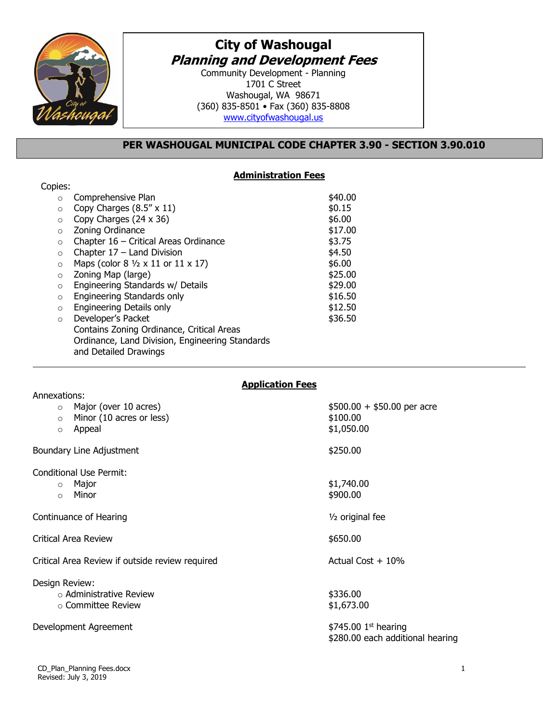

## **City of Washougal Planning and Development Fees**

Community Development - Planning 1701 C Street Washougal, WA 98671 (360) 835-8501 • Fax (360) 835-8808 [www.cityofwashougal.us](http://www.cityofwashougal.us/)

## **PER WASHOUGAL MUNICIPAL CODE CHAPTER 3.90 - SECTION 3.90.010**

## **Administration Fees**

| Copies:  |                                                          |         |
|----------|----------------------------------------------------------|---------|
| $\Omega$ | Comprehensive Plan                                       | \$40.00 |
| $\Omega$ | Copy Charges $(8.5'' \times 11)$                         | \$0.15  |
| $\circ$  | Copy Charges (24 x 36)                                   | \$6.00  |
| $\circ$  | Zoning Ordinance                                         | \$17.00 |
| $\circ$  | Chapter 16 - Critical Areas Ordinance                    | \$3.75  |
| $\circ$  | Chapter $17$ – Land Division                             | \$4.50  |
| $\circ$  | Maps (color $8\frac{1}{2} \times 11$ or $11 \times 17$ ) | \$6.00  |
| $\circ$  | Zoning Map (large)                                       | \$25.00 |
| $\circ$  | Engineering Standards w/ Details                         | \$29.00 |
| $\circ$  | Engineering Standards only                               | \$16.50 |
| $\circ$  | Engineering Details only                                 | \$12.50 |
| $\circ$  | Developer's Packet                                       | \$36.50 |
|          | Contains Zoning Ordinance, Critical Areas                |         |
|          | Ordinance, Land Division, Engineering Standards          |         |
|          | and Detailed Drawings                                    |         |

## **Application Fees**

| Annexations:                                                                                 |                                                            |
|----------------------------------------------------------------------------------------------|------------------------------------------------------------|
| Major (over 10 acres)<br>$\circ$<br>Minor (10 acres or less)<br>$\circ$<br>Appeal<br>$\circ$ | $$500.00 + $50.00$ per acre<br>\$100.00<br>\$1,050.00      |
| Boundary Line Adjustment                                                                     | \$250.00                                                   |
| Conditional Use Permit:<br>Major<br>$\circ$<br>Minor<br>$\Omega$                             | \$1,740.00<br>\$900.00                                     |
| Continuance of Hearing                                                                       | 1/ <sub>2</sub> original fee                               |
| Critical Area Review                                                                         | \$650.00                                                   |
| Critical Area Review if outside review required                                              | Actual Cost $+10%$                                         |
| Design Review:<br>$\circ$ Administrative Review<br>$\circ$ Committee Review                  | \$336.00<br>\$1,673.00                                     |
| Development Agreement                                                                        | \$745.00 $1st$ hearing<br>\$280.00 each additional hearing |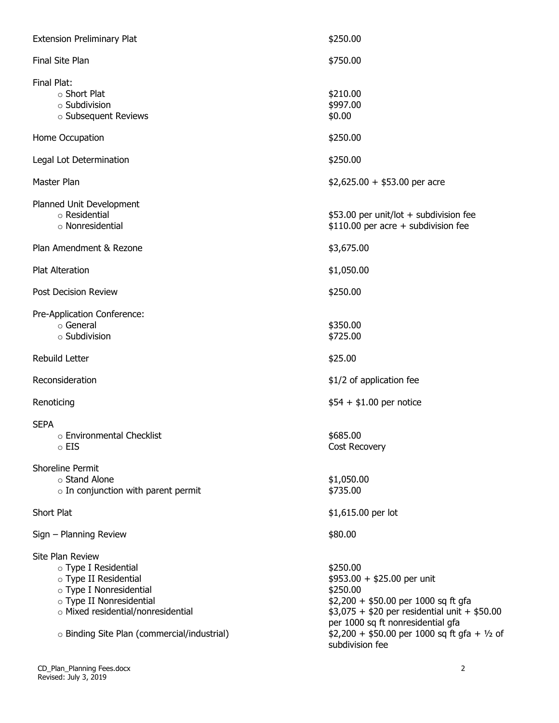| <b>Extension Preliminary Plat</b>                                                                                                                                                                             | \$250.00                                                                                                                                                                                                                                              |  |
|---------------------------------------------------------------------------------------------------------------------------------------------------------------------------------------------------------------|-------------------------------------------------------------------------------------------------------------------------------------------------------------------------------------------------------------------------------------------------------|--|
| Final Site Plan                                                                                                                                                                                               | \$750.00                                                                                                                                                                                                                                              |  |
| Final Plat:<br>○ Short Plat<br>$\circ$ Subdivision<br>o Subsequent Reviews                                                                                                                                    | \$210.00<br>\$997.00<br>\$0.00                                                                                                                                                                                                                        |  |
| Home Occupation                                                                                                                                                                                               | \$250.00                                                                                                                                                                                                                                              |  |
| Legal Lot Determination                                                                                                                                                                                       | \$250.00                                                                                                                                                                                                                                              |  |
| Master Plan                                                                                                                                                                                                   | $$2,625.00 + $53.00$ per acre                                                                                                                                                                                                                         |  |
| Planned Unit Development<br>o Residential<br>o Nonresidential                                                                                                                                                 | \$53.00 per unit/lot + subdivision fee<br>$$110.00$ per acre + subdivision fee                                                                                                                                                                        |  |
| Plan Amendment & Rezone                                                                                                                                                                                       | \$3,675.00                                                                                                                                                                                                                                            |  |
| <b>Plat Alteration</b>                                                                                                                                                                                        | \$1,050.00                                                                                                                                                                                                                                            |  |
| Post Decision Review                                                                                                                                                                                          | \$250.00                                                                                                                                                                                                                                              |  |
| Pre-Application Conference:<br>⊙ General<br>$\circ$ Subdivision                                                                                                                                               | \$350.00<br>\$725.00                                                                                                                                                                                                                                  |  |
| Rebuild Letter                                                                                                                                                                                                | \$25.00                                                                                                                                                                                                                                               |  |
| Reconsideration                                                                                                                                                                                               | \$1/2 of application fee                                                                                                                                                                                                                              |  |
| Renoticing                                                                                                                                                                                                    | $$54 + $1.00$ per notice                                                                                                                                                                                                                              |  |
| <b>SEPA</b><br>○ Environmental Checklist<br>$\circ$ EIS                                                                                                                                                       | \$685.00<br>Cost Recovery                                                                                                                                                                                                                             |  |
| Shoreline Permit<br>o Stand Alone<br>$\circ$ In conjunction with parent permit                                                                                                                                | \$1,050.00<br>\$735.00                                                                                                                                                                                                                                |  |
| Short Plat                                                                                                                                                                                                    | \$1,615.00 per lot                                                                                                                                                                                                                                    |  |
| Sign - Planning Review                                                                                                                                                                                        | \$80.00                                                                                                                                                                                                                                               |  |
| Site Plan Review<br>o Type I Residential<br>o Type II Residential<br>o Type I Nonresidential<br>o Type II Nonresidential<br>o Mixed residential/nonresidential<br>o Binding Site Plan (commercial/industrial) | \$250.00<br>\$953.00 + \$25.00 per unit<br>\$250.00<br>$$2,200 + $50.00$ per 1000 sq ft gfa<br>$$3,075 + $20$ per residential unit + \$50.00<br>per 1000 sq ft nonresidential gfa<br>$$2,200 + $50.00$ per 1000 sq ft gfa + 1/2 of<br>subdivision fee |  |